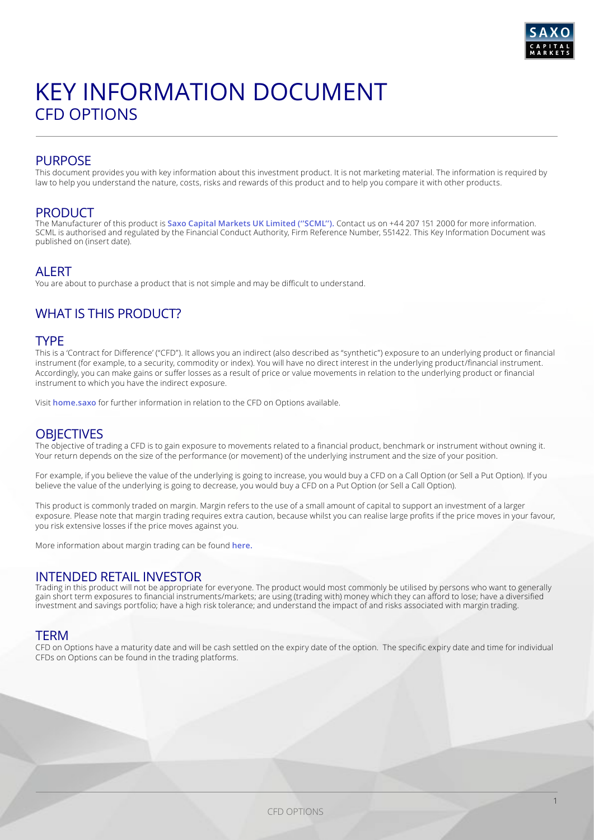

# KEY INFORMATION DOCUMENT CFD OPTIONS

# PURPOSE

This document provides you with key information about this investment product. It is not marketing material. The information is required by law to help you understand the nature, costs, risks and rewards of this product and to help you compare it with other products.

### PRODUCT

The Manufacturer of this product is **[Saxo Capital Markets UK Limited \(''SCML''\).](https://www.home.saxo/en-gb)** Contact us on +44 207 151 2000 for more information. SCML is authorised and regulated by the Financial Conduct Authority, Firm Reference Number, 551422. This Key Information Document was published on (insert date).

## **ALERT**

You are about to purchase a product that is not simple and may be difficult to understand.

# WHAT IS THIS PRODUCT?

### TYPE

This is a 'Contract for Difference' ("CFD"). It allows you an indirect (also described as "synthetic") exposure to an underlying product or financial instrument (for example, to a security, commodity or index). You will have no direct interest in the underlying product/financial instrument. Accordingly, you can make gains or suffer losses as a result of price or value movements in relation to the underlying product or financial instrument to which you have the indirect exposure.

Visit **[home.saxo](https://www.home.saxo/en-gb/rates-and-conditions/cfds/spreads-and-commissions)** for further information in relation to the CFD on Options available.

## **OBJECTIVES**

The objective of trading a CFD is to gain exposure to movements related to a financial product, benchmark or instrument without owning it. Your return depends on the size of the performance (or movement) of the underlying instrument and the size of your position.

For example, if you believe the value of the underlying is going to increase, you would buy a CFD on a Call Option (or Sell a Put Option). If you believe the value of the underlying is going to decrease, you would buy a CFD on a Put Option (or Sell a Call Option).

This product is commonly traded on margin. Margin refers to the use of a small amount of capital to support an investment of a larger exposure. Please note that margin trading requires extra caution, because whilst you can realise large profits if the price moves in your favour, you risk extensive losses if the price moves against you.

More information about margin trading can be found **[here.](https://www.home.saxo/en-gb/-/media/documents/business-terms-and-policies/product-disclosure-statement.pdf)**

## INTENDED RETAIL INVESTOR

Trading in this product will not be appropriate for everyone. The product would most commonly be utilised by persons who want to generally gain short term exposures to financial instruments/markets; are using (trading with) money which they can afford to lose; have a diversified investment and savings portfolio; have a high risk tolerance; and understand the impact of and risks associated with margin trading.

### TERM

CFD on Options have a maturity date and will be cash settled on the expiry date of the option. The specific expiry date and time for individual CFDs on Options can be found in the trading platforms.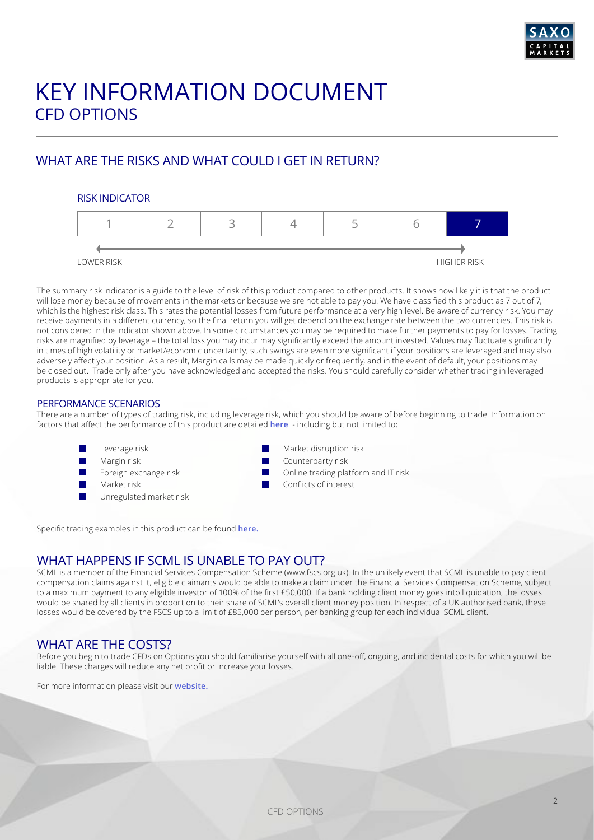

# KEY INFORMATION DOCUMENT CFD OPTIONS

# WHAT ARE THE RISKS AND WHAT COULD I GET IN RETURN?

### RISK INDICATOR



The summary risk indicator is a guide to the level of risk of this product compared to other products. It shows how likely it is that the product will lose money because of movements in the markets or because we are not able to pay you. We have classified this product as 7 out of 7, which is the highest risk class. This rates the potential losses from future performance at a very high level. Be aware of currency risk. You may receive payments in a different currency, so the final return you will get depend on the exchange rate between the two currencies. This risk is not considered in the indicator shown above. In some circumstances you may be required to make further payments to pay for losses. Trading risks are magnified by leverage – the total loss you may incur may significantly exceed the amount invested. Values may fluctuate significantly in times of high volatility or market/economic uncertainty; such swings are even more significant if your positions are leveraged and may also adversely affect your position. As a result, Margin calls may be made quickly or frequently, and in the event of default, your positions may be closed out. Trade only after you have acknowledged and accepted the risks. You should carefully consider whether trading in leveraged products is appropriate for you.

### PERFORMANCE SCENARIOS

There are a number of types of trading risk, including leverage risk, which you should be aware of before beginning to trade. Information on factors that affect the performance of this product are detailed **[here](https://www.home.saxo/en-gb/-/media/documents/business-terms-and-policies/product-disclosure-statement.pdf)** - including but not limited to;

- Leverage risk
- Margin risk
- Foreign exchange risk
- Market risk
- Unregulated market risk
- Market disruption risk
- Counterparty risk
- Online trading platform and IT risk
- Conflicts of interest

Specific trading examples in this product can be found **[here](https://www.home.saxo/en-gb/-/media/documents/business-terms-and-policies/product-disclosure-statement.pdf).**

## WHAT HAPPENS IF SCML IS UNABLE TO PAY OUT?

SCML is a member of the Financial Services Compensation Scheme (www.fscs.org.uk). In the unlikely event that SCML is unable to pay client compensation claims against it, eligible claimants would be able to make a claim under the Financial Services Compensation Scheme, subject to a maximum payment to any eligible investor of 100% of the first £50,000. If a bank holding client money goes into liquidation, the losses would be shared by all clients in proportion to their share of SCML's overall client money position. In respect of a UK authorised bank, these losses would be covered by the FSCS up to a limit of £85,000 per person, per banking group for each individual SCML client.

# WHAT ARE THE COSTS?

Before you begin to trade CFDs on Options you should familiarise yourself with all one-off, ongoing, and incidental costs for which you will be liable. These charges will reduce any net profit or increase your losses.

For more information please visit our **[website](https://www.home.saxo/en-gb/products/cfds).**